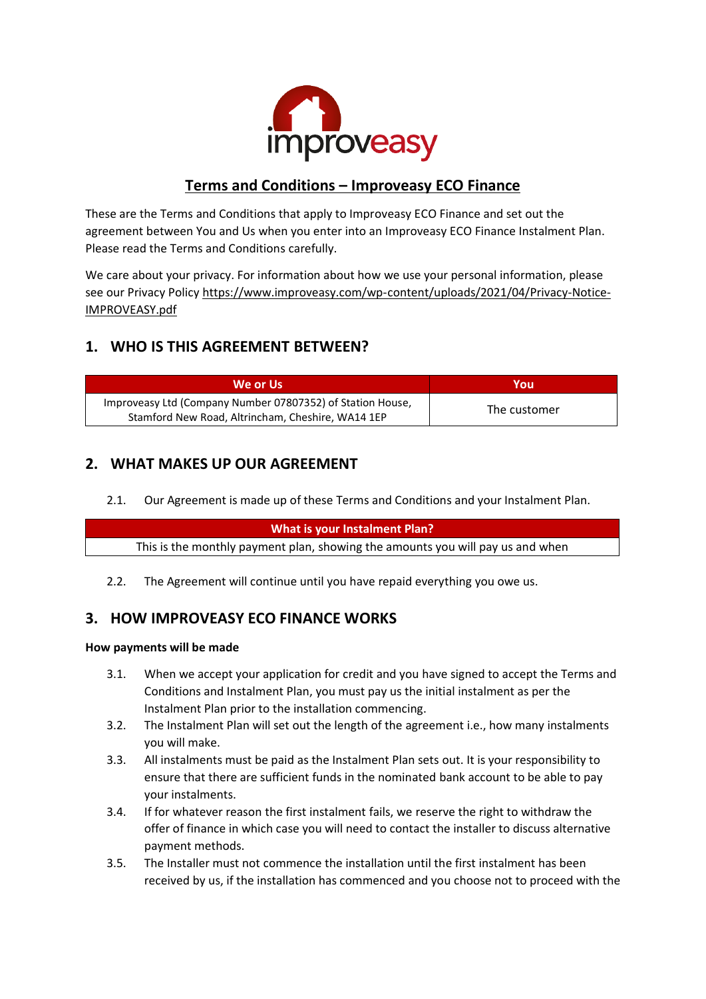

# **Terms and Conditions – Improveasy ECO Finance**

These are the Terms and Conditions that apply to Improveasy ECO Finance and set out the agreement between You and Us when you enter into an Improveasy ECO Finance Instalment Plan. Please read the Terms and Conditions carefully.

We care about your privacy. For information about how we use your personal information, please see our Privacy Policy https://www.improveasy.com/wp-content/uploads/2021/04/Privacy-Notice-IMPROVEASY.pdf

# **1. WHO IS THIS AGREEMENT BETWEEN?**

| We or Us                                                   | You          |
|------------------------------------------------------------|--------------|
| Improveasy Ltd (Company Number 07807352) of Station House, | The customer |
| Stamford New Road, Altrincham, Cheshire, WA14 1EP          |              |

# **2. WHAT MAKES UP OUR AGREEMENT**

2.1. Our Agreement is made up of these Terms and Conditions and your Instalment Plan.

| What is your Instalment Plan?                                                  |  |
|--------------------------------------------------------------------------------|--|
| This is the monthly payment plan, showing the amounts you will pay us and when |  |
|                                                                                |  |

2.2. The Agreement will continue until you have repaid everything you owe us.

# **3. HOW IMPROVEASY ECO FINANCE WORKS**

#### **How payments will be made**

- 3.1. When we accept your application for credit and you have signed to accept the Terms and Conditions and Instalment Plan, you must pay us the initial instalment as per the Instalment Plan prior to the installation commencing.
- 3.2. The Instalment Plan will set out the length of the agreement i.e., how many instalments you will make.
- 3.3. All instalments must be paid as the Instalment Plan sets out. It is your responsibility to ensure that there are sufficient funds in the nominated bank account to be able to pay your instalments.
- 3.4. If for whatever reason the first instalment fails, we reserve the right to withdraw the offer of finance in which case you will need to contact the installer to discuss alternative payment methods.
- 3.5. The Installer must not commence the installation until the first instalment has been received by us, if the installation has commenced and you choose not to proceed with the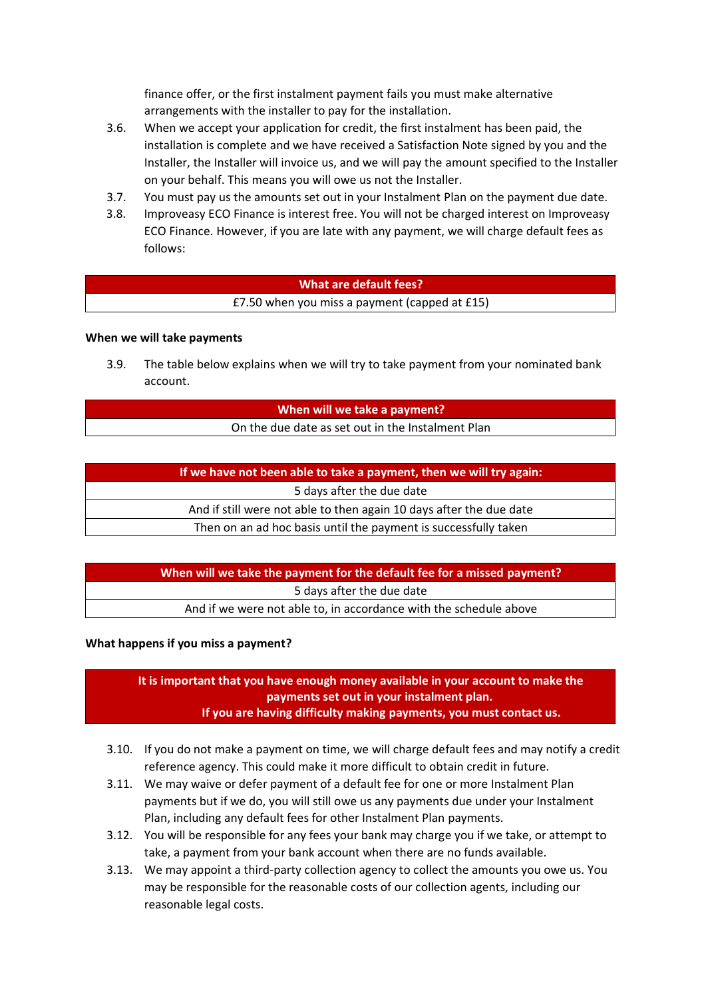finance offer, or the first instalment payment fails you must make alternative arrangements with the installer to pay for the installation.

- 3.6. When we accept your application for credit, the first instalment has been paid, the installation is complete and we have received a Satisfaction Note signed by you and the Installer, the Installer will invoice us, and we will pay the amount specified to the Installer on your behalf. This means you will owe us not the Installer.
- 3.7. You must pay us the amounts set out in your Instalment Plan on the payment due date.
- 3.8. Improveasy ECO Finance is interest free. You will not be charged interest on Improveasy ECO Finance. However, if you are late with any payment, we will charge default fees as follows:

### **What are default fees?**

£7.50 when you miss a payment (capped at £15)

### **When we will take payments**

3.9. The table below explains when we will try to take payment from your nominated bank account.

#### **When will we take a payment?** On the due date as set out in the Instalment Plan

| If we have not been able to take a payment, then we will try again: |  |
|---------------------------------------------------------------------|--|
| 5 days after the due date                                           |  |
| And if still were not able to then again 10 days after the due date |  |
| Then on an ad hoc basis until the payment is successfully taken     |  |

**When will we take the payment for the default fee for a missed payment?** 5 days after the due date And if we were not able to, in accordance with the schedule above

#### **What happens if you miss a payment?**

**It is important that you have enough money available in your account to make the payments set out in your instalment plan. If you are having difficulty making payments, you must contact us.**

- 3.10. If you do not make a payment on time, we will charge default fees and may notify a credit reference agency. This could make it more difficult to obtain credit in future.
- 3.11. We may waive or defer payment of a default fee for one or more Instalment Plan payments but if we do, you will still owe us any payments due under your Instalment Plan, including any default fees for other Instalment Plan payments.
- 3.12. You will be responsible for any fees your bank may charge you if we take, or attempt to take, a payment from your bank account when there are no funds available.
- 3.13. We may appoint a third-party collection agency to collect the amounts you owe us. You may be responsible for the reasonable costs of our collection agents, including our reasonable legal costs.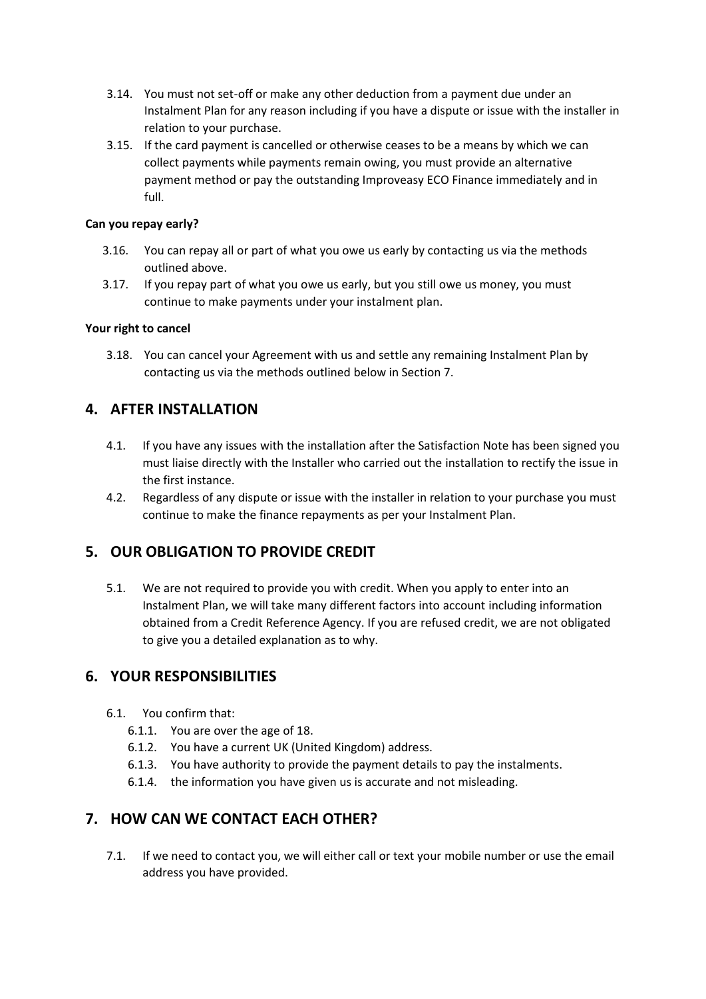- 3.14. You must not set-off or make any other deduction from a payment due under an Instalment Plan for any reason including if you have a dispute or issue with the installer in relation to your purchase.
- 3.15. If the card payment is cancelled or otherwise ceases to be a means by which we can collect payments while payments remain owing, you must provide an alternative payment method or pay the outstanding Improveasy ECO Finance immediately and in full.

### **Can you repay early?**

- 3.16. You can repay all or part of what you owe us early by contacting us via the methods outlined above.
- 3.17. If you repay part of what you owe us early, but you still owe us money, you must continue to make payments under your instalment plan.

### **Your right to cancel**

3.18. You can cancel your Agreement with us and settle any remaining Instalment Plan by contacting us via the methods outlined below in Section 7.

## **4. AFTER INSTALLATION**

- 4.1. If you have any issues with the installation after the Satisfaction Note has been signed you must liaise directly with the Installer who carried out the installation to rectify the issue in the first instance.
- 4.2. Regardless of any dispute or issue with the installer in relation to your purchase you must continue to make the finance repayments as per your Instalment Plan.

## **5. OUR OBLIGATION TO PROVIDE CREDIT**

5.1. We are not required to provide you with credit. When you apply to enter into an Instalment Plan, we will take many different factors into account including information obtained from a Credit Reference Agency. If you are refused credit, we are not obligated to give you a detailed explanation as to why.

## **6. YOUR RESPONSIBILITIES**

- 6.1. You confirm that:
	- 6.1.1. You are over the age of 18.
	- 6.1.2. You have a current UK (United Kingdom) address.
	- 6.1.3. You have authority to provide the payment details to pay the instalments.
	- 6.1.4. the information you have given us is accurate and not misleading.

## **7. HOW CAN WE CONTACT EACH OTHER?**

7.1. If we need to contact you, we will either call or text your mobile number or use the email address you have provided.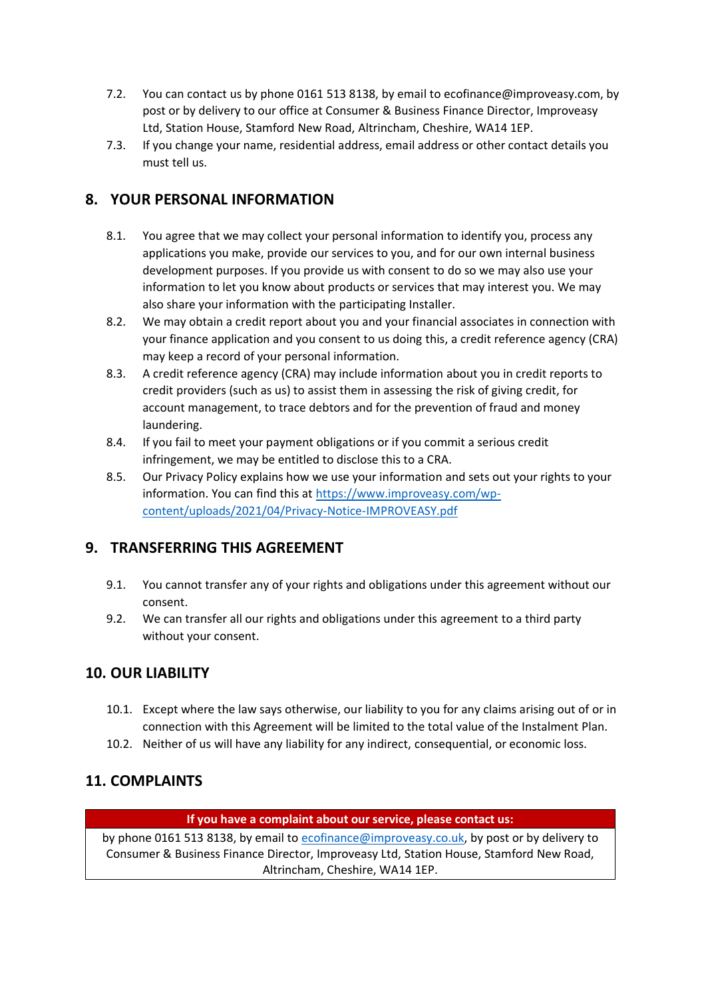- 7.2. You can contact us by phone 0161 513 8138, by email to ecofinance@improveasy.com, by post or by delivery to our office at Consumer & Business Finance Director, Improveasy Ltd, Station House, Stamford New Road, Altrincham, Cheshire, WA14 1EP.
- 7.3. If you change your name, residential address, email address or other contact details you must tell us.

## **8. YOUR PERSONAL INFORMATION**

- 8.1. You agree that we may collect your personal information to identify you, process any applications you make, provide our services to you, and for our own internal business development purposes. If you provide us with consent to do so we may also use your information to let you know about products or services that may interest you. We may also share your information with the participating Installer.
- 8.2. We may obtain a credit report about you and your financial associates in connection with your finance application and you consent to us doing this, a credit reference agency (CRA) may keep a record of your personal information.
- 8.3. A credit reference agency (CRA) may include information about you in credit reports to credit providers (such as us) to assist them in assessing the risk of giving credit, for account management, to trace debtors and for the prevention of fraud and money laundering.
- 8.4. If you fail to meet your payment obligations or if you commit a serious credit infringement, we may be entitled to disclose this to a CRA.
- 8.5. Our Privacy Policy explains how we use your information and sets out your rights to your information. You can find this at [https://www.improveasy.com/wp](https://www.improveasy.com/wp-content/uploads/2021/04/Privacy-Notice-IMPROVEASY.pdf)[content/uploads/2021/04/Privacy-Notice-IMPROVEASY.pdf](https://www.improveasy.com/wp-content/uploads/2021/04/Privacy-Notice-IMPROVEASY.pdf)

## **9. TRANSFERRING THIS AGREEMENT**

- 9.1. You cannot transfer any of your rights and obligations under this agreement without our consent.
- 9.2. We can transfer all our rights and obligations under this agreement to a third party without your consent.

## **10. OUR LIABILITY**

- 10.1. Except where the law says otherwise, our liability to you for any claims arising out of or in connection with this Agreement will be limited to the total value of the Instalment Plan.
- 10.2. Neither of us will have any liability for any indirect, consequential, or economic loss.

# **11. COMPLAINTS**

### **If you have a complaint about our service, please contact us:**

by phone 0161 513 8138, by email to [ecofinance@improveasy.co.uk,](mailto:ecofinance@improveasy.co.uk) by post or by delivery to Consumer & Business Finance Director, Improveasy Ltd, Station House, Stamford New Road, Altrincham, Cheshire, WA14 1EP.